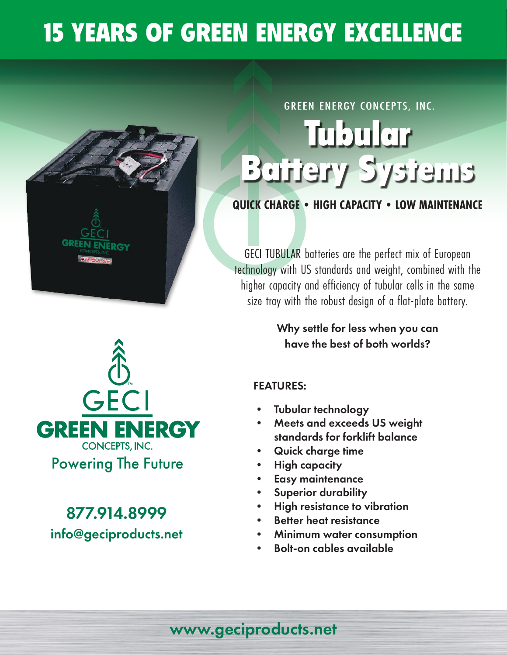## 15 YEARS OF GREEN ENERGY EXCELLENCE



# Tubular Battery Systems GREEN ENERGY CONCEPTS, INC.

#### **QUICK CHARGE • HIGH CAPACITY • LOW MAINTENANCE**

GECI TUBULAR batteries are the perfect mix of European technology with US standards and weight, combined with the higher capacity and efficiency of tubular cells in the same size tray with the robust design of a flat-plate battery.

> Why settle for less when you can have the best of both worlds?

#### FEATURES:

- Tubular technology
- Meets and exceeds US weight standards for forklift balance
- Quick charge time
- High capacity
- Easy maintenance
- Superior durability
- High resistance to vibration
- **Better heat resistance**
- Minimum water consumption
- Bolt-on cables available



877.914.8999 info@geciproducts.net

### www.geciproducts.net